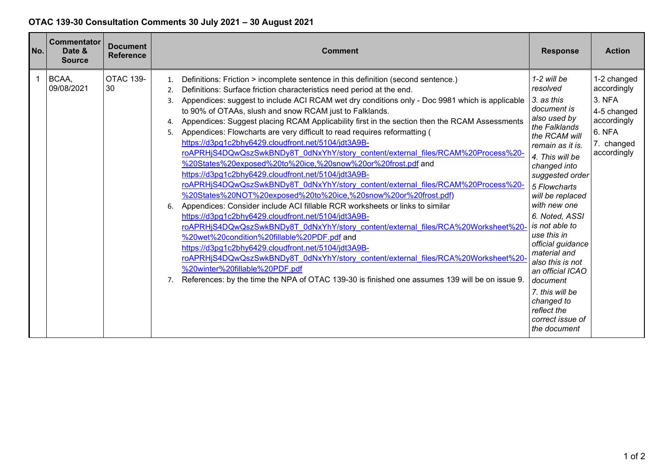## **OTAC 139-30 Consultation Comments 30 July 2021 – 30 August 2021**

| No. | <b>Commentator</b><br>Date &<br><b>Source</b> | <b>Document</b><br><b>Reference</b> | <b>Comment</b>                                                                                                                                                                                                                                                                                                                                                                                                                                                                                                                                                                                                                                                                                                                                                                                                                                                                                                                                                                                                                                                                                                                                                                                                                                                                                                                                                                                                                                                                                                       | <b>Response</b>                                                                                                                                                                                                                                                                                                                                                                                                                                                        | <b>Action</b>                                                                                             |
|-----|-----------------------------------------------|-------------------------------------|----------------------------------------------------------------------------------------------------------------------------------------------------------------------------------------------------------------------------------------------------------------------------------------------------------------------------------------------------------------------------------------------------------------------------------------------------------------------------------------------------------------------------------------------------------------------------------------------------------------------------------------------------------------------------------------------------------------------------------------------------------------------------------------------------------------------------------------------------------------------------------------------------------------------------------------------------------------------------------------------------------------------------------------------------------------------------------------------------------------------------------------------------------------------------------------------------------------------------------------------------------------------------------------------------------------------------------------------------------------------------------------------------------------------------------------------------------------------------------------------------------------------|------------------------------------------------------------------------------------------------------------------------------------------------------------------------------------------------------------------------------------------------------------------------------------------------------------------------------------------------------------------------------------------------------------------------------------------------------------------------|-----------------------------------------------------------------------------------------------------------|
|     | BCAA,<br>09/08/2021                           | <b>OTAC 139-</b><br>30              | Definitions: Friction > incomplete sentence in this definition (second sentence.)<br>1.<br>Definitions: Surface friction characteristics need period at the end.<br>2.<br>Appendices: suggest to include ACI RCAM wet dry conditions only - Doc 9981 which is applicable<br>3.<br>to 90% of OTAAs, slush and snow RCAM just to Falklands.<br>Appendices: Suggest placing RCAM Applicability first in the section then the RCAM Assessments<br>4.<br>Appendices: Flowcharts are very difficult to read requires reformatting (<br>5.<br>https://d3pg1c2bhy6429.cloudfront.net/5104/jdt3A9B-<br>roAPRHjS4DQwQszSwkBNDy8T_0dNxYhY/story_content/external_files/RCAM%20Process%20-<br>%20States%20exposed%20to%20ice,%20snow%20or%20frost.pdf and<br>https://d3pg1c2bhy6429.cloudfront.net/5104/jdt3A9B-<br>roAPRHjS4DQwQszSwkBNDy8T_0dNxYhY/story_content/external_files/RCAM%20Process%20-<br>%20States%20NOT%20exposed%20to%20ice,%20snow%20or%20frost.pdf)<br>Appendices: Consider include ACI fillable RCR worksheets or links to similar<br>https://d3pg1c2bhy6429.cloudfront.net/5104/jdt3A9B-<br>roAPRHjS4DQwQszSwkBNDy8T_0dNxYhY/story_content/external_files/RCA%20Worksheet%20-<br>%20wet%20condition%20fillable%20PDF.pdf and<br>https://d3pg1c2bhy6429.cloudfront.net/5104/jdt3A9B-<br>roAPRHjS4DQwQszSwkBNDy8T_0dNxYhY/story_content/external_files/RCA%20Worksheet%20<br>%20winter%20fillable%20PDF.pdf<br>References: by the time the NPA of OTAC 139-30 is finished one assumes 139 will be on issue 9. | $1-2$ will be<br>resolved<br>3. as this<br>document is<br>also used by<br>the Falklands<br>the RCAM will<br>remain as it is.<br>4. This will be<br>changed into<br>suggested order<br>5 Flowcharts<br>will be replaced<br>with new one<br>6. Noted, ASSI<br>is not able to<br>use this in<br>official guidance<br>material and<br>also this is not<br>an official ICAO<br>document<br>7. this will be<br>changed to<br>reflect the<br>correct issue of<br>the document | 1-2 changed<br>accordingly<br>3. NFA<br>4-5 changed<br>accordingly<br>6. NFA<br>7. changed<br>accordingly |